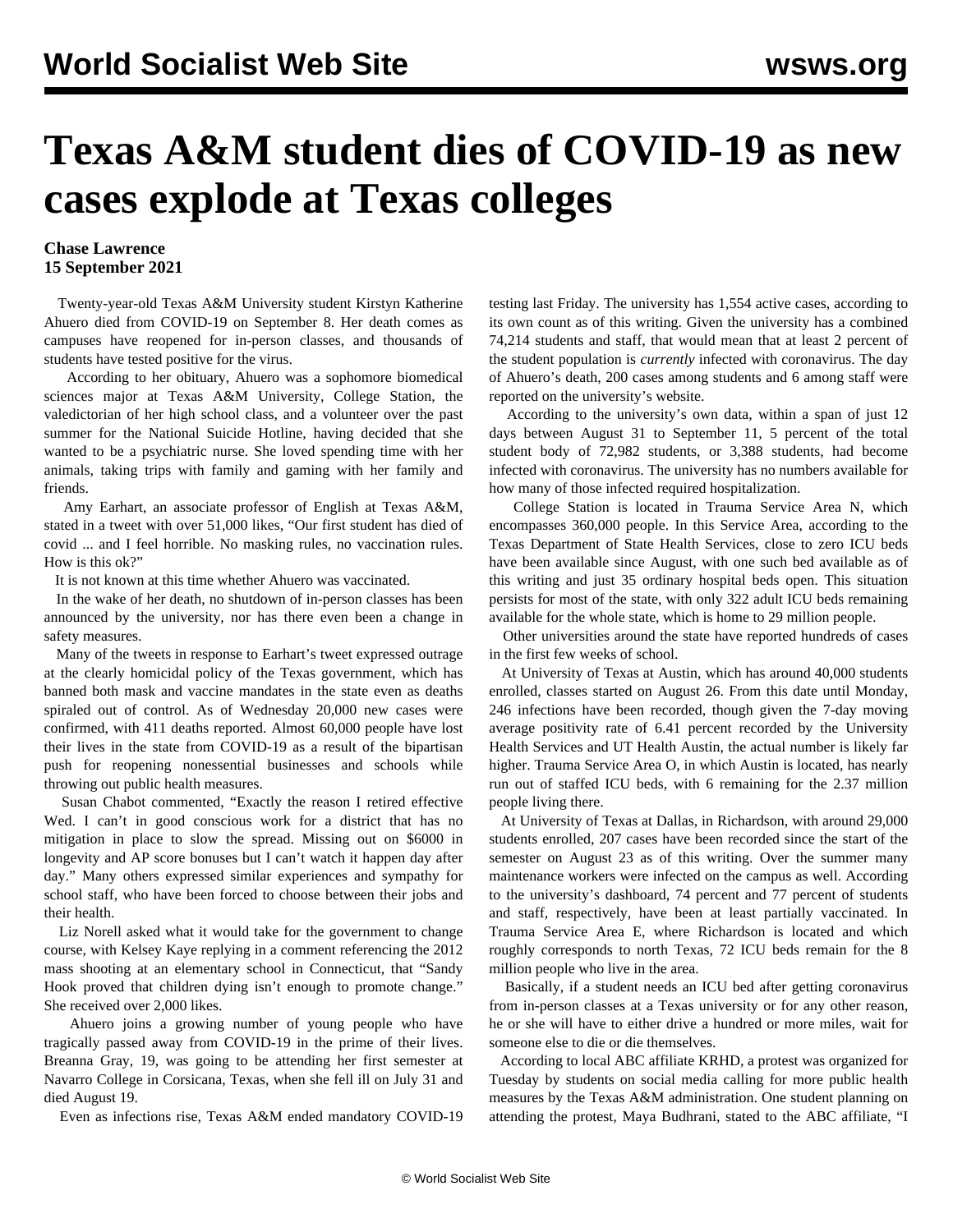## **Texas A&M student dies of COVID-19 as new cases explode at Texas colleges**

## **Chase Lawrence 15 September 2021**

 Twenty-year-old Texas A&M University student Kirstyn Katherine Ahuero died from COVID-19 on September 8. Her death comes as campuses have reopened for in-person classes, and thousands of students have tested positive for the virus.

 According to her [obituary](https://www.kerrvillefuneralhometx.com/obituary/Kirstyn-Ahuero), Ahuero was a sophomore biomedical sciences major at Texas A&M University, College Station, the valedictorian of her high school class, and a volunteer over the past summer for the National Suicide Hotline, having decided that she wanted to be a psychiatric nurse. She loved spending time with her animals, taking trips with family and gaming with her family and friends.

 Amy Earhart, an associate professor of English at Texas A&M, stated in a [tweet](https://twitter.com/amyeetx/status/1436711195852120075) with over 51,000 likes, "Our first student has died of covid ... and I feel horrible. No masking rules, no vaccination rules. How is this ok?"

It is not known at this time whether Ahuero was vaccinated.

 In the wake of her death, no shutdown of in-person classes has been announced by the university, nor has there even been a change in safety measures.

 Many of the tweets in response to Earhart's tweet expressed outrage at the clearly homicidal policy of the Texas government, which has banned both [mask](/en/articles/2021/08/28/texc-a28.html) and [vaccine](/en/articles/2021/08/28/texc-a28.html) mandates in the state even as deaths spiraled out of control. As of Wednesday 20,000 new cases were confirmed, with 411 deaths reported. Almost 60,000 people have lost their lives in the state from COVID-19 as a result of the bipartisan push for reopening nonessential businesses and schools while throwing out public health measures.

 Susan Chabot commented, "Exactly the reason I retired effective Wed. I can't in good conscious work for a district that has no mitigation in place to slow the spread. Missing out on \$6000 in longevity and AP score bonuses but I can't watch it happen day after day." Many others expressed similar experiences and sympathy for school staff, who have been forced to choose between their jobs and their health.

 Liz Norell asked what it would take for the government to change course, with Kelsey Kaye replying in a comment referencing the 2012 mass shooting at an elementary school in Connecticut, that "Sandy Hook proved that children dying isn't enough to promote change." She received over 2,000 likes.

 Ahuero joins a growing number of young people who have tragically passed away from COVID-19 in the prime of their lives. Breanna Gray, 19, was going to be attending her first semester at Navarro College in Corsicana, Texas, when she fell ill on July 31 and died August 19.

Even as infections rise, Texas A&M ended mandatory COVID-19

testing last Friday. The university has 1,554 active cases, according to its own count as of this writing. Given the university has a combined 74,214 students and staff, that would mean that at least 2 percent of the student population is *currently* infected with coronavirus. The day of Ahuero's death, 200 cases among students and 6 among staff were reported on the university's website.

 According to the university's own data, within a span of just 12 days between August 31 to September 11, 5 percent of the total student body of 72,982 students, or 3,388 students, had become infected with coronavirus. The university has no numbers available for how many of those infected required hospitalization.

 College Station is located in Trauma Service Area N, which encompasses 360,000 people. In this Service Area, according to the Texas Department of State Health Services, close to zero ICU beds have been available since August, with one such bed available as of this writing and just 35 ordinary hospital beds open. This situation persists for most of the state, with only 322 adult ICU beds remaining available for the whole state, which is home to 29 million people.

 Other universities around the state have reported hundreds of cases in the first few weeks of school.

 At University of Texas at Austin, which has around 40,000 students enrolled, classes started on August 26. From this date until Monday, 246 infections have been recorded, though given the 7-day moving average positivity rate of 6.41 percent recorded by the University Health Services and UT Health Austin, the actual number is likely far higher. Trauma Service Area O, in which Austin is located, has nearly run out of staffed ICU beds, with 6 remaining for the 2.37 million people living there.

 At University of Texas at Dallas, in Richardson, with around 29,000 students enrolled, 207 cases have been recorded since the start of the semester on August 23 as of this writing. Over the summer many maintenance workers were infected on the campus as well. According to the university's dashboard, 74 percent and 77 percent of students and staff, respectively, have been at least partially vaccinated. In Trauma Service Area E, where Richardson is located and which roughly corresponds to north Texas, 72 ICU beds remain for the 8 million people who live in the area.

 Basically, if a student needs an ICU bed after getting coronavirus from in-person classes at a Texas university or for any other reason, he or she will have to either drive a hundred or more miles, wait for someone else to die or die themselves.

 According to local ABC affiliate KRHD, a protest was organized for Tuesday by students on social media calling for more public health measures by the Texas A&M administration. One student planning on attending the protest, Maya Budhrani, stated to the ABC affiliate, "I